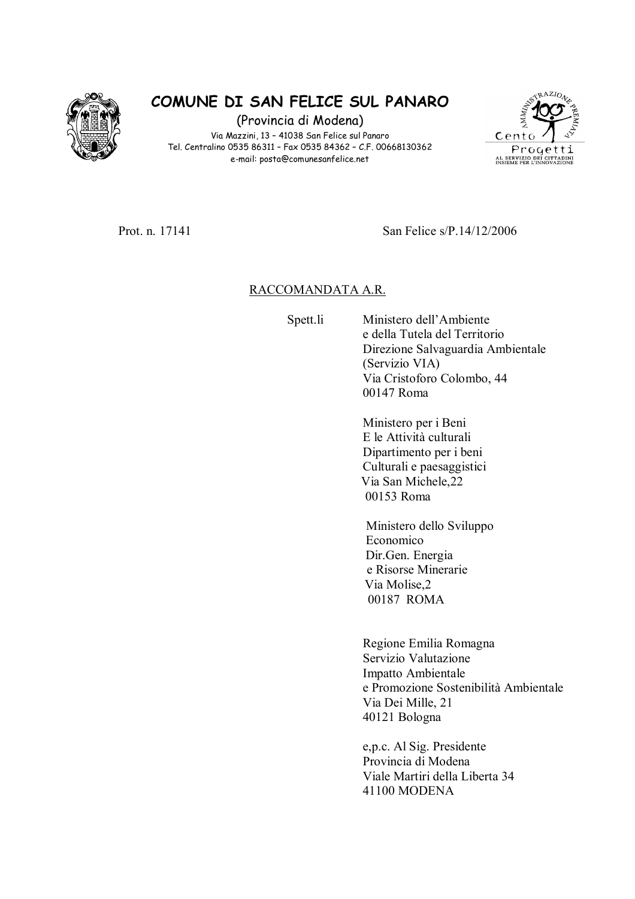

## COMUNE DI SAN FELICE SUL PANARO

(Provincia di Modena) Via Mazzini, 13 - 41038 San Felice sul Panaro Tel. Centralino 0535 86311 - Fax 0535 84362 - C.F. 00668130362 e-mail: posta@comunesanfelice.net



Prot n 17141

San Felice s/P 14/12/2006

## RACCOMANDATA A.R.

Spett.li

Ministero dell'Ambiente e della Tutela del Territorio Direzione Salvaguardia Ambientale (Servizio VIA) Via Cristoforo Colombo, 44 00147 Roma

Ministero per i Beni E le Attività culturali Dipartimento per i beni Culturali e paesaggistici Via San Michele, 22 00153 Roma

Ministero dello Sviluppo Economico Dir.Gen. Energia e Risorse Minerarie Via Molise.2 00187 ROMA

Regione Emilia Romagna Servizio Valutazione Impatto Ambientale e Promozione Sostenibilità Ambientale Via Dei Mille, 21 40121 Bologna

e, p.c. Al Sig. Presidente Provincia di Modena Viale Martiri della Liberta 34 41100 MODENA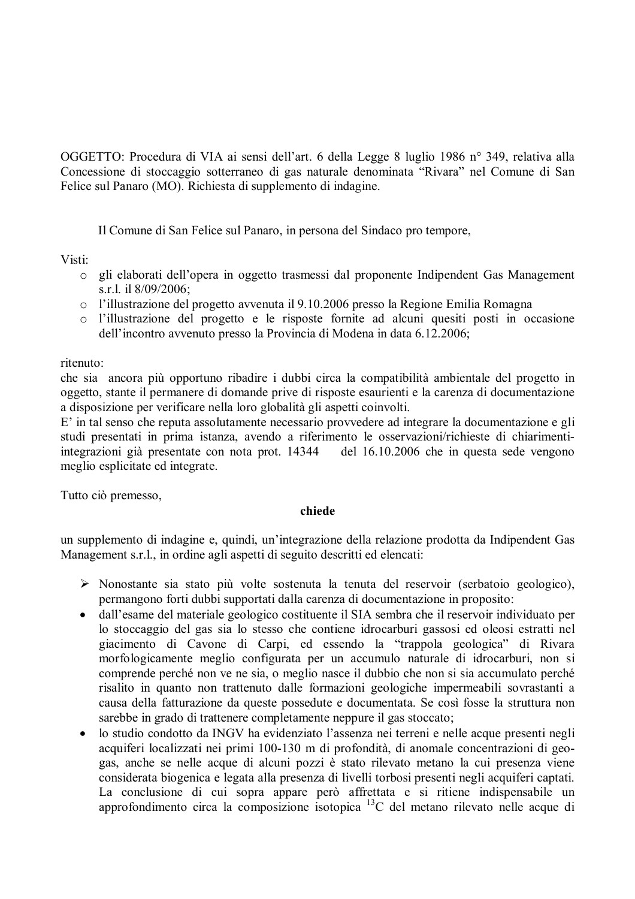OGGETTO: Procedura di VIA ai sensi dell'art. 6 della Legge 8 luglio 1986 n° 349, relativa alla Concessione di stoccaggio sotterraneo di gas naturale denominata "Rivara" nel Comune di San Felice sul Panaro (MO). Richiesta di supplemento di indagine.

Il Comune di San Felice sul Panaro, in persona del Sindaco pro tempore,

Visti:

- o gli elaborati dell'opera in oggetto trasmessi dal proponente Indipendent Gas Management s.r.l. il 8/09/2006;
- o l'illustrazione del progetto avvenuta il 9.10.2006 presso la Regione Emilia Romagna
- o l'illustrazione del progetto e le risposte fornite ad alcuni quesiti posti in occasione dell'incontro avvenuto presso la Provincia di Modena in data 6.12.2006;

## ritenuto<sup>-</sup>

che sia ancora più opportuno ribadire i dubbi circa la compatibilità ambientale del progetto in oggetto, stante il permanere di domande prive di risposte esaurienti e la carenza di documentazione a disposizione per verificare nella loro globalità gli aspetti coinvolti.

E' in tal senso che reputa assolutamente necessario provvedere ad integrare la documentazione e gli studi presentati in prima istanza, avendo a riferimento le osservazioni/richieste di chiarimentiintegrazioni già presentate con nota prot. 14344 del 16.10.2006 che in questa sede vengono meglio esplicitate ed integrate.

Tutto ciò premesso,

## chiede

un supplemento di indagine e, quindi, un'integrazione della relazione prodotta da Indipendent Gas Management s.r.l., in ordine agli aspetti di seguito descritti ed elencati:

- $\triangleright$  Nonostante sia stato più volte sostenuta la tenuta del reservoir (serbatoio geologico), permangono forti dubbi supportati dalla carenza di documentazione in proposito:
- dall'esame del materiale geologico costituente il SIA sembra che il reservoir individuato per  $\bullet$ lo stoccaggio del gas sia lo stesso che contiene idrocarburi gassosi ed oleosi estratti nel giacimento di Cavone di Carpi, ed essendo la "trappola geologica" di Rivara morfologicamente meglio configurata per un accumulo naturale di idrocarburi, non si comprende perché non ve ne sia, o meglio nasce il dubbio che non si sia accumulato perché risalito in quanto non trattenuto dalle formazioni geologiche impermeabili sovrastanti a causa della fatturazione da queste possedute e documentata. Se così fosse la struttura non sarebbe in grado di trattenere completamente neppure il gas stoccato;
- lo studio condotto da INGV ha evidenziato l'assenza nei terreni e nelle acque presenti negli  $\bullet$ acquiferi localizzati nei primi 100-130 m di profondità, di anomale concentrazioni di geogas, anche se nelle acque di alcuni pozzi è stato rilevato metano la cui presenza viene considerata biogenica e legata alla presenza di livelli torbosi presenti negli acquiferi captati. La conclusione di cui sopra appare però affrettata e si ritiene indispensabile un approfondimento circa la composizione isotopica  $^{13}$ C del metano rilevato nelle acque di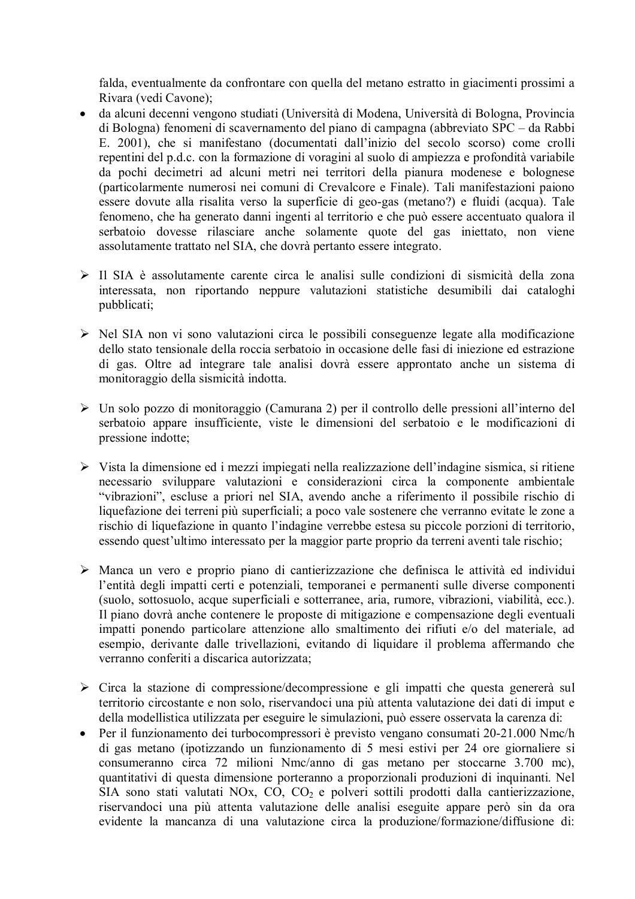falda, eventualmente da confrontare con quella del metano estratto in giacimenti prossimi a Rivara (vedi Cavone);

- da alcuni decenni vengono studiati (Università di Modena, Università di Bologna, Provincia  $\bullet$ di Bologna) fenomeni di scavernamento del piano di campagna (abbreviato SPC – da Rabbi E. 2001), che si manifestano (documentati dall'inizio del secolo scorso) come crolli repentini del p.d.c. con la formazione di voragini al suolo di ampiezza e profondità variabile da pochi decimetri ad alcuni metri nei territori della pianura modenese e bolognese (particolarmente numerosi nei comuni di Crevalcore e Finale). Tali manifestazioni paiono essere dovute alla risalita verso la superficie di geo-gas (metano?) e fluidi (acqua). Tale fenomeno, che ha generato danni ingenti al territorio e che può essere accentuato qualora il serbatoio dovesse rilasciare anche solamente quote del gas iniettato, non viene assolutamente trattato nel SIA, che dovrà pertanto essere integrato.
- Il SIA è assolutamente carente circa le analisi sulle condizioni di sismicità della zona interessata, non riportando neppure valutazioni statistiche desumibili dai cataloghi pubblicati;
- > Nel SIA non vi sono valutazioni circa le possibili conseguenze legate alla modificazione dello stato tensionale della roccia serbatoio in occasione delle fasi di iniezione ed estrazione di gas. Oltre ad integrare tale analisi dovrà essere approntato anche un sistema di monitoraggio della sismicità indotta.
- > Un solo pozzo di monitoraggio (Camurana 2) per il controllo delle pressioni all'interno del serbatoio appare insufficiente, viste le dimensioni del serbatoio e le modificazioni di pressione indotte;
- $\triangleright$  Vista la dimensione ed i mezzi impiegati nella realizzazione dell'indagine sismica, si ritiene necessario sviluppare valutazioni e considerazioni circa la componente ambientale "vibrazioni", escluse a priori nel SIA, avendo anche a riferimento il possibile rischio di liquefazione dei terreni più superficiali; a poco vale sostenere che verranno evitate le zone a rischio di liquefazione in quanto l'indagine verrebbe estesa su piccole porzioni di territorio, essendo quest'ultimo interessato per la maggior parte proprio da terreni aventi tale rischio;
- > Manca un vero e proprio piano di cantierizzazione che definisca le attività ed individui l'entità degli impatti certi e potenziali, temporanei e permanenti sulle diverse componenti (suolo, sottosuolo, acque superficiali e sotterranee, aria, rumore, vibrazioni, viabilità, ecc.). Il piano dovrà anche contenere le proposte di mitigazione e compensazione degli eventuali impatti ponendo particolare attenzione allo smaltimento dei rifiuti e/o del materiale, ad esempio, derivante dalle trivellazioni, evitando di liquidare il problema affermando che verranno conferiti a discarica autorizzata;
- $\triangleright$  Circa la stazione di compressione/decompressione e gli impatti che questa genererà sul territorio circostante e non solo, riservandoci una più attenta valutazione dei dati di imput e della modellistica utilizzata per eseguire le simulazioni, può essere osservata la carenza di:
- $\bullet$ Per il funzionamento dei turbocompressori è previsto vengano consumati 20-21.000 Nmc/h di gas metano (ipotizzando un funzionamento di 5 mesi estivi per 24 ore giornaliere si consumeranno circa 72 milioni Nmc/anno di gas metano per stoccarne 3.700 mc), quantitativi di questa dimensione porteranno a proporzionali produzioni di inquinanti. Nel SIA sono stati valutati NOx, CO, CO<sub>2</sub> e polveri sottili prodotti dalla cantierizzazione, riservandoci una più attenta valutazione delle analisi eseguite appare però sin da ora evidente la mancanza di una valutazione circa la produzione/formazione/diffusione di: